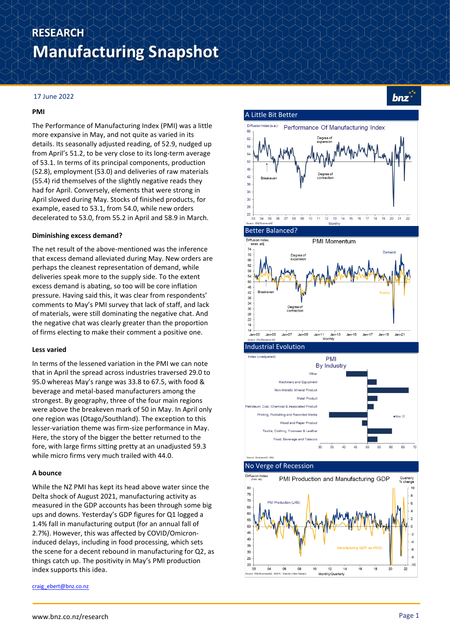# **Manufacturing Snapshot RESEARCH**

## 17 June 2022

#### **PMI**

The Performance of Manufacturing Index (PMI) was a little more expansive in May, and not quite as varied in its details. Its seasonally adjusted reading, of 52.9, nudged up from April's 51.2, to be very close to its long-term average of 53.1. In terms of its principal components, production (52.8), employment (53.0) and deliveries of raw materials (55.4) rid themselves of the slightly negative reads they had for April. Conversely, elements that were strong in April slowed during May. Stocks of finished products, for example, eased to 53.1, from 54.0, while new orders decelerated to 53.0, from 55.2 in April and 58.9 in March.

#### **Diminishing excess demand?**

The net result of the above-mentioned was the inference that excess demand alleviated during May. New orders are perhaps the cleanest representation of demand, while deliveries speak more to the supply side. To the extent excess demand is abating, so too will be core inflation pressure. Having said this, it was clear from respondents' comments to May's PMI survey that lack of staff, and lack of materials, were still dominating the negative chat. And the negative chat was clearly greater than the proportion of firms electing to make their comment a positive one.

#### **Less varied**

In terms of the lessened variation in the PMI we can note that in April the spread across industries traversed 29.0 to 95.0 whereas May's range was 33.8 to 67.5, with food & beverage and metal-based manufacturers among the strongest. By geography, three of the four main regions were above the breakeven mark of 50 in May. In April only one region was (Otago/Southland). The exception to this lesser-variation theme was firm-size performance in May. Here, the story of the bigger the better returned to the fore, with large firms sitting pretty at an unadjusted 59.3 while micro firms very much trailed with 44.0.

## **A bounce**

While the NZ PMI has kept its head above water since the Delta shock of August 2021, manufacturing activity as measured in the GDP accounts has been through some big ups and downs. Yesterday's GDP figures for Q1 logged a 1.4% fall in manufacturing output (for an annual fall of 2.7%). However, this was affected by COVID/Omicroninduced delays, including in food processing, which sets the scene for a decent rebound in manufacturing for Q2, as things catch up. The positivity in May's PMI production index supports this idea.

[craig\\_ebert@bnz.co.nz](mailto:craig_ebert@bnz.co.nz)



 $bnz^*$ 



#### No Verge of Recession

A Little Bit Better